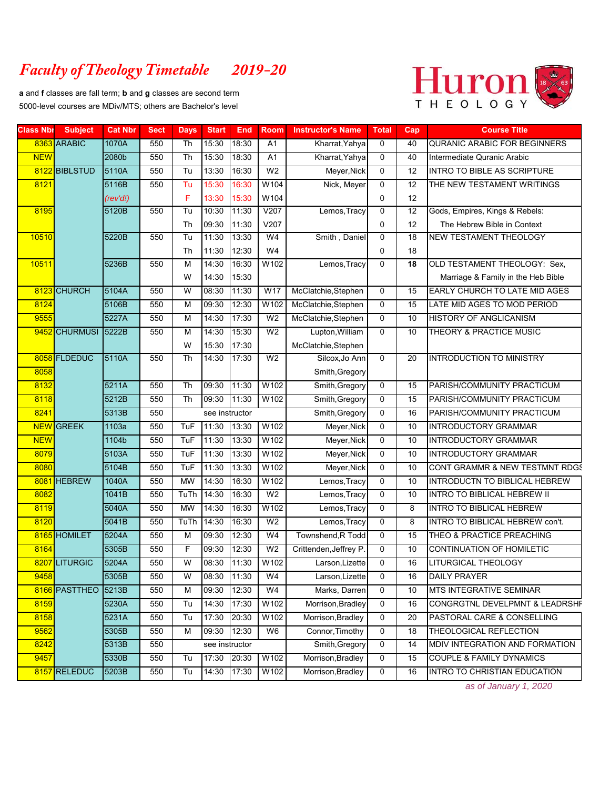## *Faculty of Theology Timetable 2019-20*

**a** and **f** classes are fall term; **b** and **g** classes are second term 5000-level courses are MDiv/MTS; others are Bachelor's level



| <b>Class Nbi</b> | <b>Subject</b>   | <b>Cat Nbr</b> | <b>Sect</b> | <b>Days</b>       | <b>Start</b>   | <b>End</b>     | Room           | <b>Instructor's Name</b>     | <b>Total</b>               | Cap             | <b>Course Title</b>                                             |
|------------------|------------------|----------------|-------------|-------------------|----------------|----------------|----------------|------------------------------|----------------------------|-----------------|-----------------------------------------------------------------|
|                  | 8363 ARABIC      | 1070A          | 550         | Th                | 15:30          | 18:30          | A1             | Kharrat, Yahya               | $\mathbf 0$                | 40              | <b>QURANIC ARABIC FOR BEGINNERS</b>                             |
| <b>NEW</b>       |                  | 2080b          | 550         | Th                | 15:30          | 18:30          | A1             | Kharrat, Yahya               | 0                          | 40              | Intermediate Quranic Arabic                                     |
|                  | 8122 BIBLSTUD    | 5110A          | 550         | Tu                | 13:30          | 16:30          | W <sub>2</sub> | Meyer, Nick                  | $\mathbf 0$                | $\overline{12}$ | <b>INTRO TO BIBLE AS SCRIPTURE</b>                              |
| 8121             |                  | 5116B          | 550         | Tu                | 15:30          | 16:30          | W104           | Nick, Meyer                  | $\mathbf 0$                | 12              | THE NEW TESTAMENT WRITINGS                                      |
|                  |                  | (rev'd!)       |             | F                 | 13:30          | 15:30          | W104           |                              | 0                          | 12              |                                                                 |
| 8195             |                  | 5120B          | 550         | Tu                | 10:30          | 11:30          | V207           | Lemos, Tracy                 | 0                          | $\overline{12}$ | Gods, Empires, Kings & Rebels:                                  |
|                  |                  |                |             | Th                | 09:30          | 11:30          | V207           |                              | 0                          | 12              | The Hebrew Bible in Context                                     |
| 10510            |                  | 5220B          | 550         | Tu                | 11:30          | 13:30          | W <sub>4</sub> | Smith, Daniel                | 0                          | 18              | <b>NEW TESTAMENT THEOLOGY</b>                                   |
|                  |                  |                |             | Th                | 11:30          | 12:30          | W4             |                              | 0                          | 18              |                                                                 |
| 10511            |                  | 5236B          | 550         | M                 | 14:30          | 16:30          | W102           | Lemos, Tracy                 | $\mathbf 0$                | 18              | OLD TESTAMENT THEOLOGY: Sex,                                    |
|                  |                  |                |             | W                 | 14:30          | 15:30          |                |                              |                            |                 | Marriage & Family in the Heb Bible                              |
|                  | 8123 CHURCH      | 5104A          | 550         | W                 | 08:30          | 11:30          | W17            | McClatchie, Stephen          | $\mathbf 0$                | 15              | EARLY CHURCH TO LATE MID AGES                                   |
| 8124             |                  | 5106B          | 550         | M                 | 09:30          | 12:30          | W102           | McClatchie, Stephen          | 0                          | 15              | LATE MID AGES TO MOD PERIOD                                     |
| 9555             |                  | 5227A          | 550         | M                 | 14:30          | 17:30          | W <sub>2</sub> | McClatchie, Stephen          | $\mathbf 0$                | 10              | HISTORY OF ANGLICANISM                                          |
|                  | 9452 CHURMUSI    | 5222B          | 550         | M                 | 14:30          | 15:30          | W <sub>2</sub> | Lupton, William              | $\overline{0}$             | 10              | THEORY & PRACTICE MUSIC                                         |
|                  |                  |                |             | W                 | 15:30          | 17:30          |                | McClatchie, Stephen          |                            |                 |                                                                 |
|                  | 8058 FLDEDUC     | 5110A          | 550         | Th                | 14:30          | 17:30          | W <sub>2</sub> | Silcox, Jo Ann               | $\mathbf 0$                | 20              | <b>INTRODUCTION TO MINISTRY</b>                                 |
| 8058             |                  |                |             |                   |                |                |                | Smith, Gregory               |                            |                 |                                                                 |
| 8132             |                  | 5211A          | 550         | Th                | 09:30          | 11:30<br>11:30 | W102<br>W102   | Smith, Gregory               | $\mathbf 0$                | 15              | PARISH/COMMUNITY PRACTICUM                                      |
| 8118<br>8241     |                  | 5212B          | 550         | Th                | 09:30          |                |                | Smith, Gregory               | $\mathbf 0$                | 15              | PARISH/COMMUNITY PRACTICUM                                      |
|                  | <b>NEW</b> GREEK | 5313B          | 550         |                   | see instructor |                |                | Smith, Gregory               | 0                          | 16              | PARISH/COMMUNITY PRACTICUM                                      |
| <b>NEW</b>       |                  | 1103a<br>1104b | 550         | <b>TuF</b><br>TuF | 11:30<br>11:30 | 13:30<br>13:30 | W102<br>W102   | Meyer, Nick                  | $\mathbf 0$<br>$\mathbf 0$ | 10<br>10        | <b>INTRODUCTORY GRAMMAR</b>                                     |
|                  |                  | 5103A          | 550<br>550  | TuF               | 11:30          | 13:30          | W102           | Meyer, Nick                  | $\mathbf 0$                | 10              | INTRODUCTORY GRAMMAR                                            |
| 8079             |                  |                |             |                   |                |                |                | Meyer, Nick                  |                            |                 | INTRODUCTORY GRAMMAR                                            |
| 8080             | 8081 HEBREW      | 5104B<br>1040A | 550<br>550  | TuF<br><b>MW</b>  | 11:30<br>14:30 | 13:30<br>16:30 | W102<br>W102   | Meyer, Nick                  | $\mathbf 0$<br>$\mathbf 0$ | 10<br>10        | CONT GRAMMR & NEW TESTMNT RDGS<br>INTRODUCTN TO BIBLICAL HEBREW |
| 8082             |                  | 1041B          | 550         | TuTh              | 14:30          | 16:30          | W <sub>2</sub> | Lemos, Tracy                 | $\mathbf 0$                | 10              | INTRO TO BIBLICAL HEBREW II                                     |
| 8119             |                  | 5040A          | 550         | <b>MW</b>         | 14:30          | 16:30          | W102           | Lemos, Tracy<br>Lemos, Tracy | $\mathbf 0$                | 8               | <b>INTRO TO BIBLICAL HEBREW</b>                                 |
| 8120             |                  | 5041B          | 550         | TuTh              | 14:30          | 16:30          | W <sub>2</sub> | Lemos, Tracy                 | $\mathbf 0$                | 8               | INTRO TO BIBLICAL HEBREW con't.                                 |
|                  | 8165 HOMILET     | 5204A          | 550         | M                 | 09:30          | 12:30          | W4             | Townshend, R Todd            | $\mathbf 0$                | 15              | THEO & PRACTICE PREACHING                                       |
| 8164             |                  | 5305B          | 550         | F                 | 09:30          | 12:30          | W <sub>2</sub> | Crittenden, Jeffrey P.       | 0                          | 10              | CONTINUATION OF HOMILETIC                                       |
|                  | 8207 LITURGIC    | 5204A          | 550         | W                 | 08:30          | 11:30          | W102           | Larson, Lizette              | 0                          | 16              | <b>LITURGICAL THEOLOGY</b>                                      |
| 9458             |                  | 5305B          | 550         | W                 | 08:30 11:30    |                | W4             | Larson, Lizette              | 0                          | 16              | DAILY PRAYER                                                    |
|                  | 8166 PASTTHEO    | 5213B          | 550         | M                 | 09:30          | 12:30          | W4             | Marks, Darren                | 0                          | 10              | MTS INTEGRATIVE SEMINAR                                         |
| 8159             |                  | 5230A          | 550         | Tu                | 14:30          | 17:30          | W102           | Morrison, Bradley            | 0                          | 16              | CONGRGTNL DEVELPMNT & LEADRSHF                                  |
| 8158             |                  | 5231A          | 550         | Tu                | 17:30          | 20:30          | W102           | Morrison, Bradley            | 0                          | 20              | PASTORAL CARE & CONSELLING                                      |
| 9562             |                  | 5305B          | 550         | M                 | 09:30          | 12:30          | W6             | Connor, Timothy              | $\mathbf 0$                | 18              | THEOLOGICAL REFLECTION                                          |
| 8242             |                  | 5313B          | 550         |                   | see instructor |                |                | Smith, Gregory               | 0                          | 14              | MDIV INTEGRATION AND FORMATION                                  |
| 9457             |                  | 5330B          | 550         | Tu                | 17:30          | 20:30          | W102           | Morrison, Bradley            | 0                          | 15              | COUPLE & FAMILY DYNAMICS                                        |
|                  | 8157 RELEDUC     | 5203B          | 550         | Tu                | 14:30          | 17:30          | W102           | Morrison, Bradley            | 0                          | 16              | INTRO TO CHRISTIAN EDUCATION                                    |
|                  |                  |                |             |                   |                |                |                |                              |                            |                 |                                                                 |

*as of January 1, 2020*